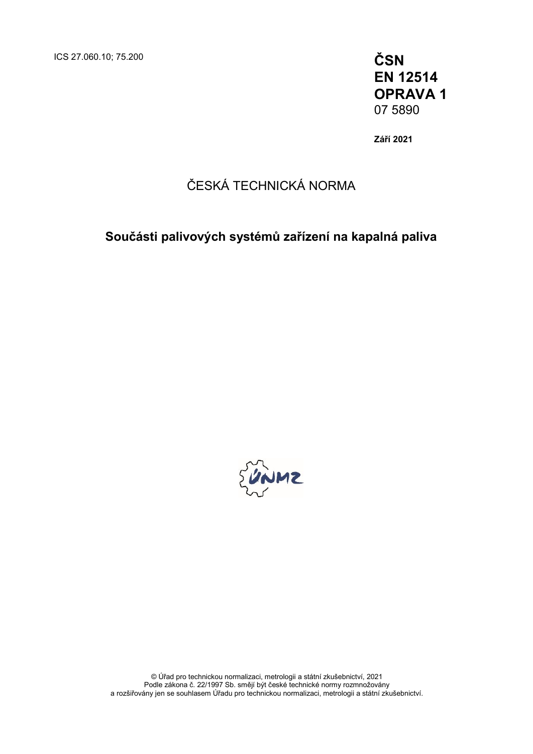**EN 12514 OPRAVA 1** 07 5890

**Září 2021**

### ČESKÁ TECHNICKÁ NORMA

**Součásti palivových systémů zařízení na kapalná paliva**



© Úřad pro technickou normalizaci, metrologii a státní zkušebnictví, 2021 Podle zákona č. 22/1997 Sb. smějí být české technické normy rozmnožovány a rozšiřovány jen se souhlasem Úřadu pro technickou normalizaci, metrologii a státní zkušebnictví.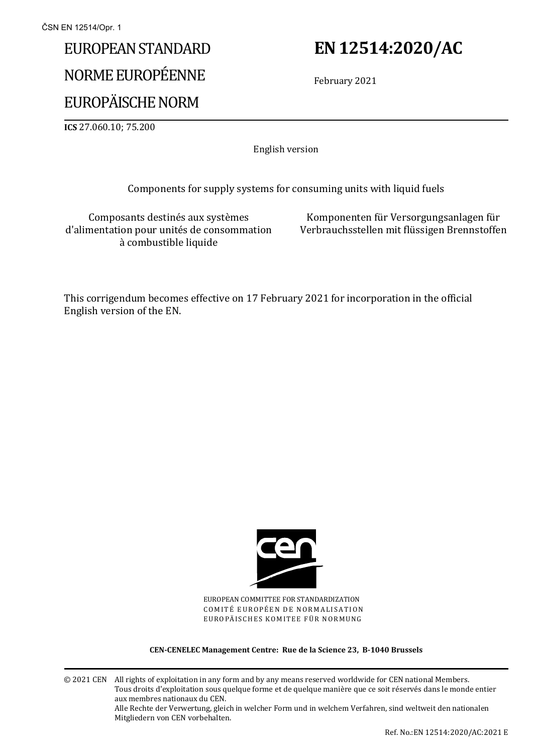# EUROPEAN STANDARD NORME EUROPÉENNE

## EUROPÄISCHE NORM

## **EN 12514:2020/AC**

February 2021

**ICS** 27.060.10; 75.200

English version

Components for supply systems for consuming units with liquid fuels

Composants destinés aux systèmes d'alimentation pour unités de consommation à combustible liquide

Komponenten für Versorgungsanlagen für Verbrauchsstellen mit flüssigen Brennstoffen

This corrigendum becomes effective on 17 February 2021 for incorporation in the official English version of the EN.



EUROPEAN COMMITTEE FOR STANDARDIZATION COMITÉ EUROPÉEN DE NORMALISATION EUROPÄISCHES KOMITEE FÜR NORMUNG

**CEN-CENELEC Management Centre: Rue de la Science 23, B-1040 Brussels**

© 2021 CEN All rights of exploitation in any form and by any means reserved worldwide for CEN national Members. Tous droits d'exploitation sous quelque forme et de quelque manière que ce soit réservés dans le monde entier aux membres nationaux du CEN. Alle Rechte der Verwertung, gleich in welcher Form und in welchem Verfahren, sind weltweit den nationalen Mitgliedern von CEN vorbehalten.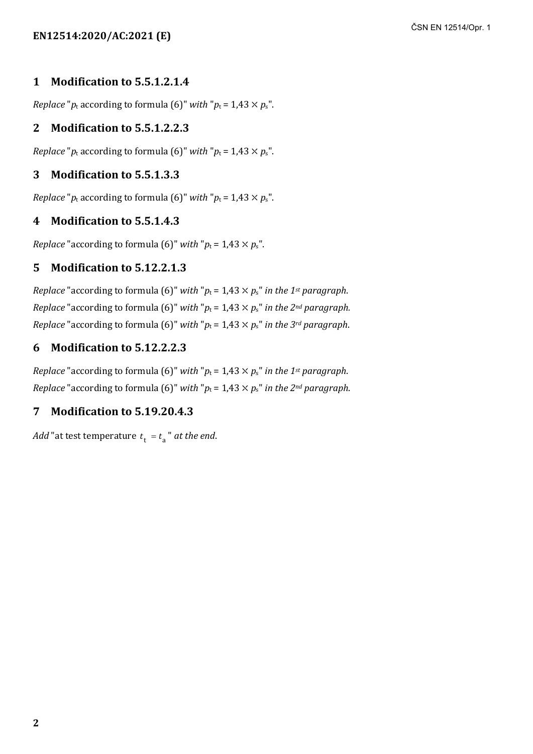#### **1 Modification to 5.5.1.2.1.4**

*Replace* " $p_t$  according to formula (6)" *with* " $p_t = 1.43 \times p_s$ ".

#### **2 Modification to 5.5.1.2.2.3**

*Replace* " $p_t$  according to formula (6)" *with* " $p_t = 1.43 \times p_s$ ".

#### **3 Modification to 5.5.1.3.3**

*Replace* " $p_t$  according to formula (6)" *with* " $p_t = 1.43 \times p_s$ ".

#### **4 Modification to 5.5.1.4.3**

*Replace* "according to formula (6)" *with* " $p_t = 1.43 \times p_s$ ".

#### **5 Modification to 5.12.2.1.3**

*Replace* "according to formula (6)" *with* " $p_t = 1.43 \times p_s$ " *in the 1st paragraph. Replace* "according to formula (6)" *with* " $p_t = 1.43 \times p_s$ " *in the 2<sup>nd</sup> paragraph. Replace* "according to formula (6)" *with* " $p_t = 1.43 \times p_s$ " *in the 3<sup>rd</sup> paragraph.* 

#### **6 Modification to 5.12.2.2.3**

*Replace* "according to formula (6)" *with* " $p_t = 1.43 \times p_s$ " *in the 1st paragraph. Replace* "according to formula (6)" *with* " $p_t = 1.43 \times p_s$ " *in the 2<sup>nd</sup> paragraph.* 

#### **7 Modification to 5.19.20.4.3**

*Add* "at test temperature  $t_+ = t_2$ " *at the end.*